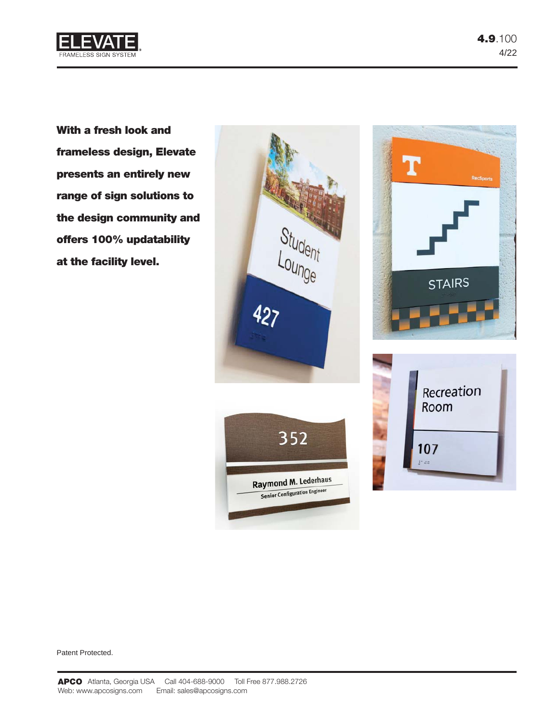

**With a fresh look and frameless design, Elevate presents an entirely new range of sign solutions to the design community and offers 100% updatability at the facility level.**

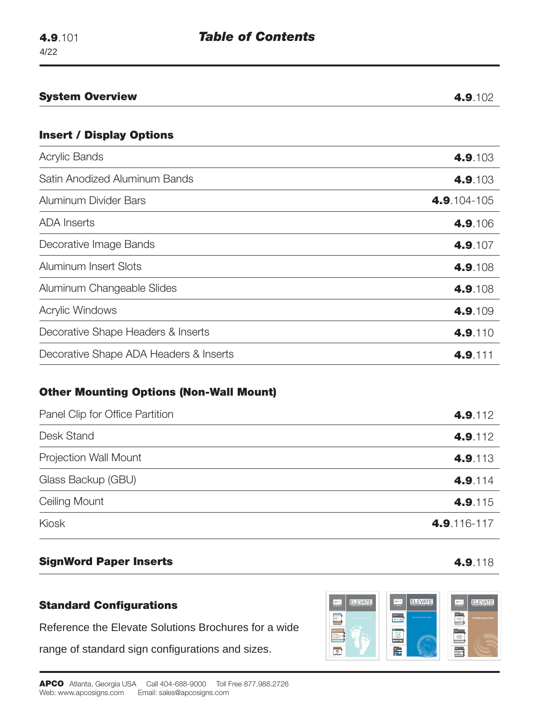| <b>System Overview</b>                 | 4.9.102     |
|----------------------------------------|-------------|
| <b>Insert / Display Options</b>        |             |
| Acrylic Bands                          | 4.9.103     |
| Satin Anodized Aluminum Bands          | 4.9.103     |
| Aluminum Divider Bars                  | 4.9.104-105 |
| <b>ADA</b> Inserts                     | 4.9.106     |
| Decorative Image Bands                 | 4.9.107     |
| Aluminum Insert Slots                  | 4.9.108     |
| Aluminum Changeable Slides             | 4.9.108     |
| <b>Acrylic Windows</b>                 | 4.9.109     |
| Decorative Shape Headers & Inserts     | 4.9.110     |
| Decorative Shape ADA Headers & Inserts | 4.9.111     |

# **Other Mounting Options (Non-Wall Mount)**

| Panel Clip for Office Partition | 4.9.112     |
|---------------------------------|-------------|
| Desk Stand                      | 4.9.112     |
| <b>Projection Wall Mount</b>    | 4.9.113     |
| Glass Backup (GBU)              | 4.9.114     |
| Ceiling Mount                   | 4.9.115     |
| Kiosk                           | 4.9.116-117 |

# **SignWord Paper Inserts 4.9.118**

# **Standard Configurations**

Reference the Elevate Solutions Brochures for a wide

range of standard sign configurations and sizes.

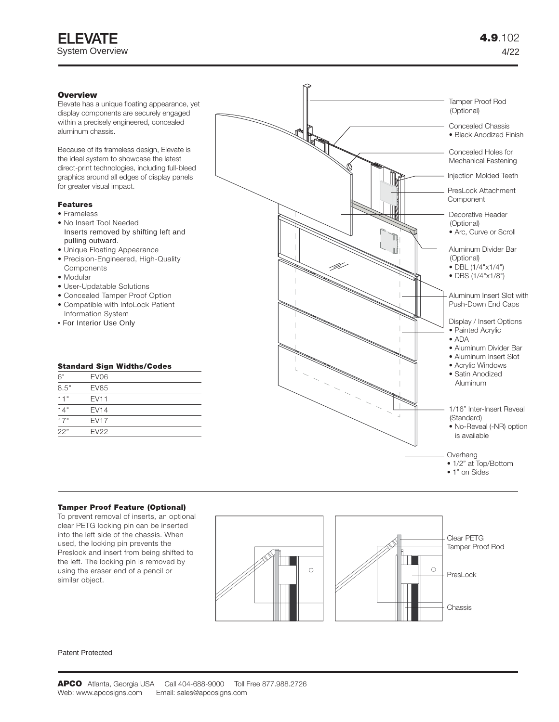# **Overview**

Elevate has a unique floating appearance, yet display components are securely engaged within a precisely engineered, concealed aluminum chassis.

Because of its frameless design, Elevate is the ideal system to showcase the latest direct-print technologies, including full-bleed graphics around all edges of display panels for greater visual impact.

## **Features**

- Frameless
- No Insert Tool Needed Inserts removed by shifting left and pulling outward.
- Unique Floating Appearance
- Precision-Engineered, High-Quality **Components**
- Modular
- User-Updatable Solutions
- Concealed Tamper Proof Option
- Compatible with InfoLock Patient Information System
- For Interior Use Only

#### **Standard Sign Widths/Codes**

| 6"   | EV <sub>06</sub> |  |
|------|------------------|--|
| 8.5" | <b>EV85</b>      |  |
| 11"  | <b>EV11</b>      |  |
| 14"  | <b>EV14</b>      |  |
| 17"  | <b>EV17</b>      |  |
| 22"  | <b>EV22</b>      |  |



#### **Tamper Proof Feature (Optional)**

To prevent removal of inserts, an optional clear PETG locking pin can be inserted into the left side of the chassis. When used, the locking pin prevents the Preslock and insert from being shifted to the left. The locking pin is removed by using the eraser end of a pencil or similar object.

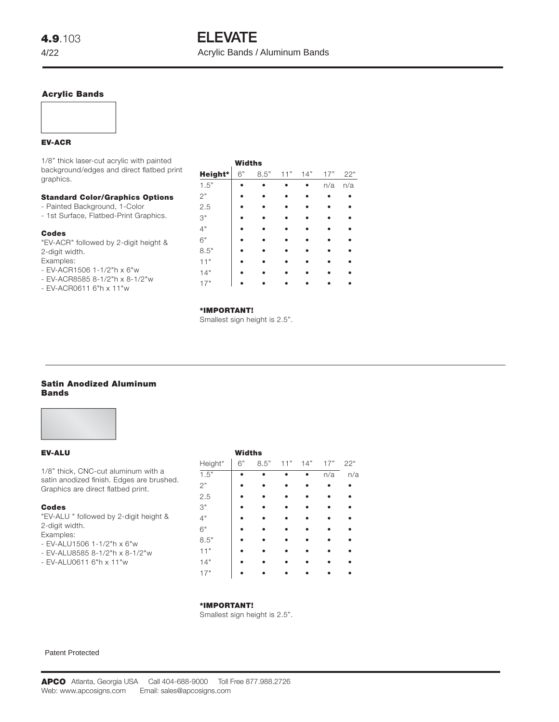# **Acrylic Bands**

#### **EV-ACR**

1/8" thick laser-cut acrylic with painted background/edges and direct flatbed print graphics.

|  |  | <b>Standard Color/Graphics Options</b> |
|--|--|----------------------------------------|
|--|--|----------------------------------------|

- Painted Background, 1-Color
- 1st Surface, Flatbed-Print Graphics.

#### **Codes**

"EV-ACR" followed by 2-digit height & 2-digit width. Examples:

- EV-ACR1506 1-1/2"h x 6"w
- EV-ACR8585 8-1/2"h x 8-1/2"w
- EV-ACR0611 6"h x 11"w

|         | Widths |      |     |     |     |     |
|---------|--------|------|-----|-----|-----|-----|
| Height* | 6"     | 8.5" | 11" | 14" | 17" | 22" |
| 1.5"    |        |      |     |     | n/a | n/a |
| 2"      |        |      |     |     |     |     |
| 2.5     |        |      |     |     |     |     |
| 3"      |        |      |     |     |     |     |
| 4"      |        |      |     |     |     |     |
| 6"      |        |      |     |     |     |     |
| $8.5"$  |        |      |     |     |     |     |
| 11"     |        |      |     |     |     |     |
| 14"     |        |      |     |     |     |     |
| 17"     |        |      |     |     |     |     |

#### **\*IMPORTANT!**

Smallest sign height is 2.5".

# **Satin Anodized Aluminum Bands**



#### **EV-ALU**

1/8" thick, CNC-cut aluminum with a satin anodized finish. Edges are brushed. Graphics are direct flatbed print.

#### **Codes**

"EV-ALU " followed by 2-digit height & 2-digit width. Examples:

- EV-ALU1506 1-1/2"h x 6"w
- EV-ALU8585 8-1/2"h x 8-1/2"w
- EV-ALU0611 6"h x 11"w

# **Widths** Height\* 6" 8.5" 11" 14" 17" 22" 1.5" • • • • n/a n/a  $2"$  • • • • • • 2.5 **• • • • • •** 3" • • • • • • 4" • • • • • • 6" • • • • • • 8.5" **• • • • • •** 11" • • • • • • 14" **• • • • • •** 17" • • • • • •

#### **\*IMPORTANT!**

Smallest sign height is 2.5".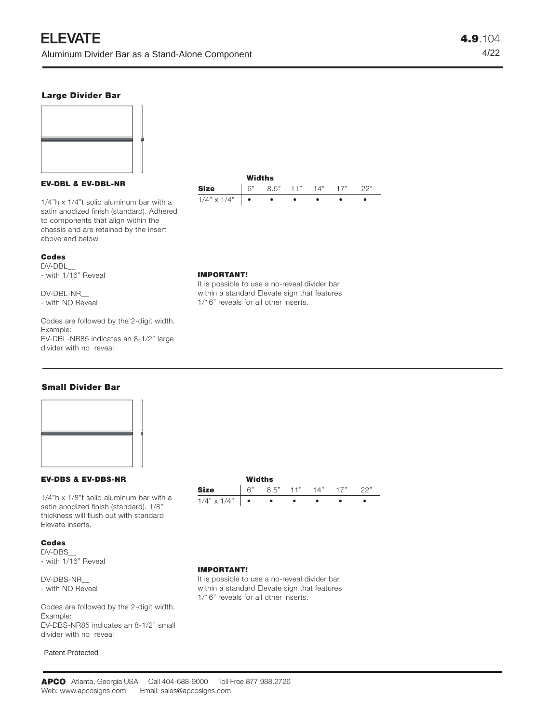# **Large Divider Bar**



#### **EV-DBL & EV-DBL-NR**

1/4"h x 1/4"t solid aluminum bar with a satin anodized finish (standard). Adhered to components that align within the chassis and are retained by the insert above and below.

#### **Codes**

DV-DBL\_\_ - with 1/16" Reveal

DV-DBL-NR\_\_ - with NO Reveal

Codes are followed by the 2-digit width. Example: EV-DBL-NR85 indicates an 8-1/2" large divider with no reveal



#### **IMPORTANT!**

It is possible to use a no-reveal divider bar within a standard Elevate sign that features 1/16" reveals for all other inserts.

# **Small Divider Bar**



# **EV-DBS & EV-DBS-NR**

1/4"h x 1/8"t solid aluminum bar with a satin anodized finish (standard). 1/8" thickness will flush out with standard Elevate inserts.

# **Codes**

DV-DBS\_\_ - with 1/16" Reveal

DV-DBS-NR\_\_ - with NO Reveal

Codes are followed by the 2-digit width. Example: EV-DBS-NR85 indicates an 8-1/2" small divider with no reveal

Patent Protected



# **IMPORTANT!**

It is possible to use a no-reveal divider bar within a standard Elevate sign that features 1/16" reveals for all other inserts.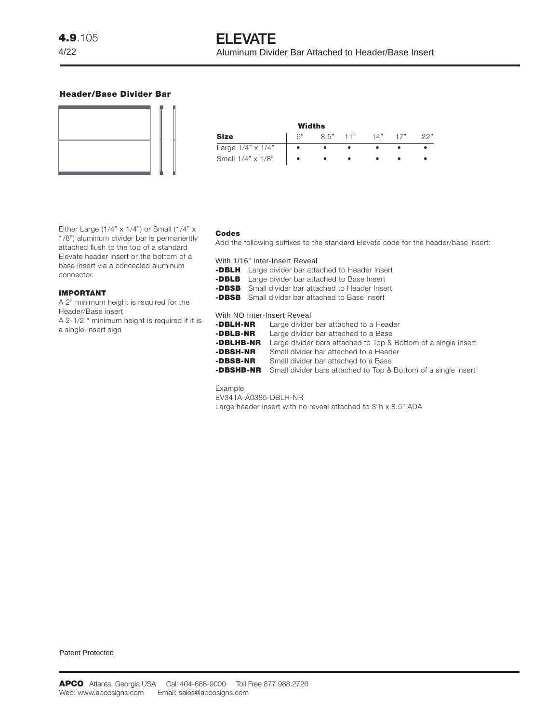## **Header/Base Divider Bar**



|                          | Widths |            |             |     |
|--------------------------|--------|------------|-------------|-----|
| <b>Size</b>              | 6"     | $8.5"$ 11" | $14"$ $17"$ | つつ" |
| Large $1/4" \times 1/4"$ |        |            |             |     |
| Small 1/4" x 1/8"        |        |            |             |     |

Either Large (1/4"  $\times$  1/4") or Small (1/4"  $\times$ 1/8") aluminum divider bar is permanently attached flush to the top of a standard Elevate header insert or the bottom of a base insert via a concealed aluminum connector.

#### **IMPORTANT**

A 2" minimum height is required for the Header/Base insert

A 2-1/2 " minimum height is required if it is a single-insert sign

#### **Codes**

Add the following suffixes to the standard Elevate code for the header/base insert:

With 1/16" Inter-Insert Reveal

- **-DBLH** Large divider bar attached to Header Insert
- **-DBLB** Large divider bar attached to Base Insert
- **-DBSB** Small divider bar attached to Header Insert
- **-DBSB** Small divider bar attached to Base Insert

#### With NO Inter-Insert Reveal

| -DBLH-NR  | Large divider bar attached to a Header                                          |
|-----------|---------------------------------------------------------------------------------|
| -DBLB-NR  | Large divider bar attached to a Base                                            |
| -DBLHB-NR | Large divider bars attached to Top & Bottom of a single insert                  |
| -DBSH-NR  | Small divider bar attached to a Header                                          |
| -DBSB-NR  | Small divider bar attached to a Base                                            |
|           | <b>-DBSHB-NR</b> Small divider bars attached to Top & Bottom of a single insert |

# Example

EV341A-A0385-DBLH-NR Large header insert with no reveal attached to 3"h x 8.5" ADA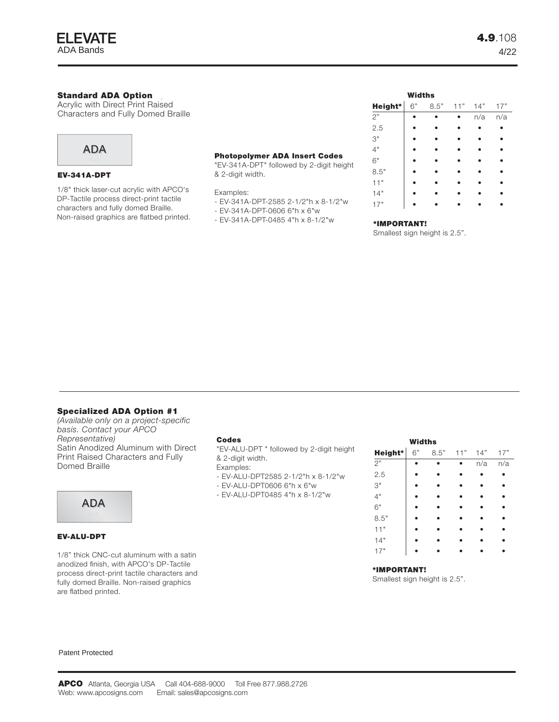

# **Standard ADA Option**

**Acrylic with Direct Print Raised** Characters and Fully Domed Braille



#### **EV-341A-DPT**

1/8" thick laser-cut acrylic with APCO's DP-Tactile process direct-print tactile characters and fully domed Braille. Non-raised graphics are flatbed printed.

## **Photopolymer ADA Insert Codes**

"EV-341A-DPT" followed by 2-digit height & 2-digit width.

Examples:

- EV-341A-DPT-2585 2-1/2"h x 8-1/2"w
- EV-341A-DPT-0606 6"h x 6"w
- EV-341A-DPT-0485 4"h x 8-1/2"w

**\*IMPORTANT!** Smallest sign height is 2.5".

 **Widths**

**Height\*** 6" 8.5" 11" 14" 17" 2" • • • n/a n/a 2.5 **• • • • •** 3" **• • • • •** 4" • • • • • 6" • • • • • 8.5" **• • • • •** 11" • • • • • 14" • • • • • 17" • • • • •

#### **Specialized ADA Option #1**

*(Available only on a project-specific basis. Contact your APCO Representative)* Satin Anodized Aluminum with Direct Print Raised Characters and Fully Domed Braille

# ADA



#### **EV-ALU-DPT**

1/8" thick CNC-cut aluminum with a satin anodized finish, with APCO's DP-Tactile process direct-print tactile characters and fully domed Braille. Non-raised graphics are flatbed printed.

#### **Codes**

"EV-ALU-DPT " followed by 2-digit height & 2-digit width.

Examples:

- EV-ALU-DPT2585 2-1/2"h x 8-1/2"w
- EV-ALU-DPT0606 6"h x 6"w
- EV-ALU-DPT0485 4"h x 8-1/2"w

|         | Widths |      |     |     |     |
|---------|--------|------|-----|-----|-----|
| Height* | 6"     | 8.5" | 11" | 14" | 17" |
| 2"      |        |      |     | n/a | n/a |
| 2.5     |        |      |     |     |     |
| $3"$    |        |      |     |     |     |
| 4"      |        |      |     |     |     |
| 6"      |        |      |     |     |     |
| 8.5"    |        |      |     |     |     |
| 11"     |        |      |     |     |     |
| 14"     |        |      |     |     |     |
| 17"     |        |      |     |     |     |

#### **\*IMPORTANT!**

Smallest sign height is 2.5".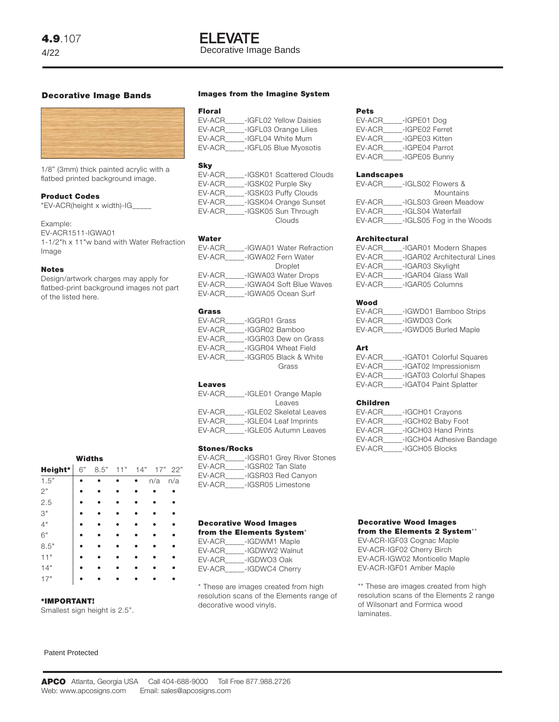# **ELEVATE** Decorative Image Bands

# **Decorative Image Bands**



1/8" (3mm) thick painted acrylic with a flatbed printed background image.

# **Product Codes**

"EV-ACR(height x width)-IG\_\_\_\_\_

#### Example:

EV-ACR1511-IGWA01 1-1/2"h x 11"w band with Water Refraction Image

#### **Notes**

Design/artwork charges may apply for flatbed-print background images not part of the listed here.

|         | <b>Widths</b> |      |     |     |     |           |
|---------|---------------|------|-----|-----|-----|-----------|
| Height* | 6"            | 8.5" | 11" | 14" |     | $17"$ 22" |
| 1.5"    |               |      |     |     | n/a | n/a       |
| 2"      |               |      |     |     |     |           |
| 2.5     |               |      |     |     |     |           |
| 3"      |               |      |     |     |     |           |
| 4"      |               |      |     |     |     |           |
| 6"      |               |      |     |     |     |           |
| 8.5"    |               |      |     |     |     |           |
| 11"     |               |      |     |     |     |           |
| 14"     |               |      |     |     |     |           |
| 17"     |               |      |     |     |     |           |

#### **\*IMPORTANT!**

Smallest sign height is 2.5".

#### Patent Protected

#### **Images from the Imagine System**

#### **Floral**

| EV-ACR | -IGFL02 Yellow Daisies |
|--------|------------------------|
| EV-ACR | -IGFL03 Orange Lilies  |
| EV-ACR | -IGFL04 White Mum      |
| EV-ACR | -IGFL05 Blue Myosotis  |
|        |                        |

#### **Sky**

| EV-ACR | -IGSK01 Scattered Clouds |  |
|--------|--------------------------|--|
| EV-ACR | -IGSK02 Purple Sky       |  |
| EV-ACR | -IGSK03 Puffy Clouds     |  |
| EV-ACR | -IGSK04 Orange Sunset    |  |
| EV-ACR | -IGSK05 Sun Through      |  |
|        | Clouds                   |  |
|        |                          |  |

#### **Water**

| EV-ACR | -IGWA01 Water Refraction |
|--------|--------------------------|
| EV-ACR | -IGWA02 Fern Water       |
|        | Droplet                  |
| EV-ACR | -IGWA03 Water Drops      |
| EV-ACR | -IGWA04 Soft Blue Waves  |
| EV-ACR | -IGWA05 Ocean Surf       |
|        |                          |

#### **Grass**

| EV-ACR | -IGGR01 Grass         |  |
|--------|-----------------------|--|
| EV-ACR | -IGGR02 Bamboo        |  |
| EV-ACR | -IGGR03 Dew on Grass  |  |
| EV-ACR | -IGGR04 Wheat Field   |  |
| EV-ACR | -IGGR05 Black & White |  |
|        | Grass                 |  |
|        |                       |  |

## **Leaves**

| EV-ACR | -IGLE01 Orange Maple    |
|--------|-------------------------|
|        | Leaves                  |
| EV-ACR | -IGLE02 Skeletal Leaves |
| EV-ACR | -IGLE04 Leaf Imprints   |
| EV-ACR | -IGLE05 Autumn Leaves   |
|        |                         |

### **Stones/Rocks**

| EV-ACR | -IGSR01 Grey River Stones |
|--------|---------------------------|
| EV-ACR | -IGSR02 Tan Slate         |
| EV-ACR | -IGSR03 Red Canyon        |
| EV-ACR | -IGSR05 Limestone         |
|        |                           |

#### **Decorative Wood Images from the Elements System**\*

| EV-ACR | -IGDWM1 Maple  |
|--------|----------------|
| EV-ACR | -IGDWW2 Walnut |
| EV-ACR | -IGDWO3 Oak    |
| EV-ACR | -IGDWC4 Cherry |

\* These are images created from high resolution scans of the Elements range of decorative wood vinyls.

#### **Pets**

| EV-ACR | -IGPE01 Dog    |
|--------|----------------|
| EV-ACR | -IGPE02 Ferret |
| EV-ACR | -IGPE03 Kitten |
| EV-ACR | -IGPE04 Parrot |
| EV-ACR | -IGPE05 Bunny  |

#### **Landscapes**

| EV-ACR | -IGLS02 Flowers &        |
|--------|--------------------------|
|        | Mountains                |
| EV-ACR | -IGLS03 Green Meadow     |
| EV-ACR | -IGLS04 Waterfall        |
| EV-ACR | -IGLS05 Fog in the Woods |
|        |                          |

#### **Architectural**

| EV-ACR |                  | -IGAR01 Modern Shapes       |
|--------|------------------|-----------------------------|
| EV-ACR |                  | -IGAR02 Architectural Lines |
| EV-ACR | -IGAR03 Skylight |                             |
| EV-ACR |                  | -IGAR04 Glass Wall          |
| EV-ACR |                  | -IGAR05 Columns             |
|        |                  |                             |

#### **Wood**

| EV-ACR |              | -IGWD01 Bamboo Strips |
|--------|--------------|-----------------------|
| EV-ACR | -IGWD03 Cork |                       |
| EV-ACR |              | -IGWD05 Burled Maple  |

#### **Art**

| EV-ACR | -IGAT01 Colorful Squares |
|--------|--------------------------|
| EV-ACR | -IGAT02 Impressionism    |
| EV-ACR | -IGAT03 Colorful Shapes  |
| EV-ACR | -IGAT04 Paint Splatter   |

#### **Children**

| -IGCH01 Crayons |                          |
|-----------------|--------------------------|
|                 | -IGCH02 Baby Foot        |
|                 | -IGCH03 Hand Prints      |
|                 | -IGCH04 Adhesive Bandage |
| -IGCH05 Blocks  |                          |
|                 |                          |

#### **Decorative Wood Images from the Elements 2 System**\*\*

EV-ACR-IGF03 Cognac Maple EV-ACR-IGF02 Cherry Birch EV-ACR-IGW02 Monticello Maple EV-ACR-IGF01 Amber Maple

\*\* These are images created from high resolution scans of the Elements 2 range of Wilsonart and Formica wood laminates.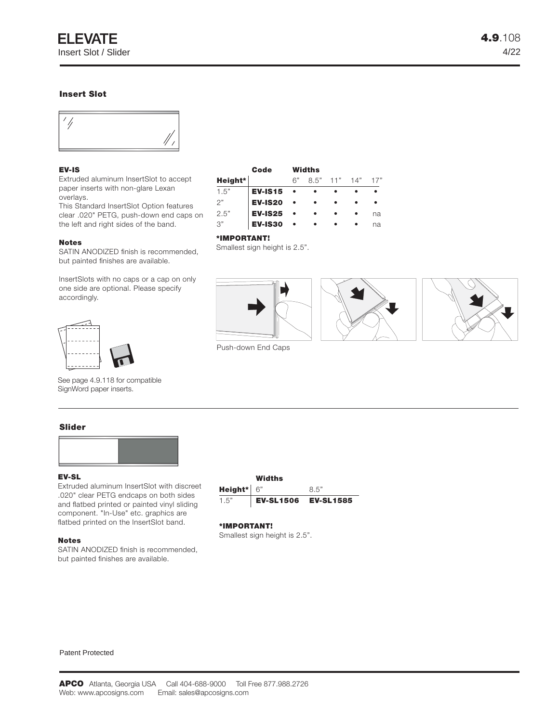# **Insert Slot**



# **EV-IS**

Extruded aluminum InsertSlot to accept paper inserts with non-glare Lexan overlays.

This Standard InsertSlot Option features clear .020" PETG, push-down end caps on the left and right sides of the band.

#### **Notes**

SATIN ANODIZED finish is recommended, but painted finishes are available.

InsertSlots with no caps or a cap on only one side are optional. Please specify accordingly.



#### **\*IMPORTANT!**

Smallest sign height is 2.5".

Push-down End Caps







See page 4.9.118 for compatible SignWord paper inserts.

# **Slider**



#### **EV-SL**

Extruded aluminum InsertSlot with discreet .020" clear PETG endcaps on both sides and flatbed printed or painted vinyl sliding component. "In-Use" etc. graphics are flatbed printed on the InsertSlot band.

#### **Notes**

SATIN ANODIZED finish is recommended, but painted finishes are available.



#### **\*IMPORTANT!**

Smallest sign height is 2.5".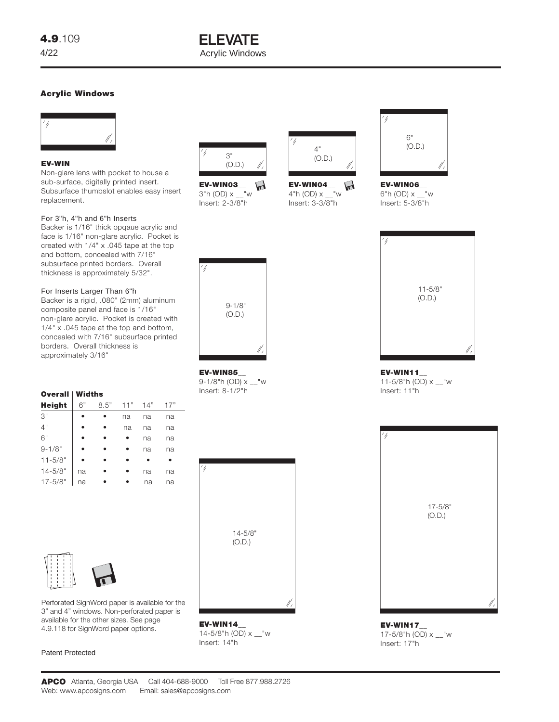# **ELEVATE** Acrylic Windows

# **Acrylic Windows**



# **EV-WIN**

Non-glare lens with pocket to house a sub-surface, digitally printed insert. Subsurface thumbslot enables easy insert replacement.

# For 3"h, 4"h and 6"h Inserts

Backer is 1/16" thick opqaue acrylic and face is 1/16" non-glare acrylic. Pocket is created with 1/4" x .045 tape at the top and bottom, concealed with 7/16" subsurface printed borders. Overall thickness is approximately 5/32".

# For Inserts Larger Than 6"h

Backer is a rigid, .080" (2mm) aluminum composite panel and face is 1/16" non-glare acrylic. Pocket is created with 1/4" x .045 tape at the top and bottom, concealed with 7/16" subsurface printed borders. Overall thickness is approximately 3/16"

# **Overall Widths**

| <b>Height</b> | 6" | 8.5" | 11" | 14" | 17" |
|---------------|----|------|-----|-----|-----|
| 3"            |    |      | na  | na  | na  |
| 4"            |    |      | na  | na  | na  |
| 6"            |    |      |     | na  | na  |
| $9 - 1/8"$    |    |      |     | na  | na  |
| $11 - 5/8"$   |    |      |     |     |     |
| $14 - 5/8"$   | na |      |     | na  | na  |
| $17 - 5/8$ "  | na |      |     | na  | na  |



Perforated SignWord paper is available for the 3" and 4" windows. Non-perforated paper is available for the other sizes. See page 4.9.118 for SignWord paper options.

# Patent Protected



**EV-WIN03\_\_**  $3"h$  (OD)  $x - w$ Insert: 2-3/8"h

9-1/8" (O.D.)

**EV-WIN85\_\_** 9-1/8"h (OD) x \_\_"w Insert: 8-1/2"h



**EV-WIN04\_\_**  $\mathbf{H}$ 4"h (OD) x \_\_"w Insert: 3-3/8"h



**EV-WIN06\_\_** 6"h (OD) x \_\_"w Insert: 5-3/8"h



**EV-WIN11\_\_** 11-5/8"h (OD) x \_\_"w Insert: 11"h



**EV-WIN17\_\_** 17-5/8"h (OD) x \_\_"w Insert: 17"h



**EV-WIN14\_\_** 14-5/8"h (OD) x \_\_"w Insert: 14"h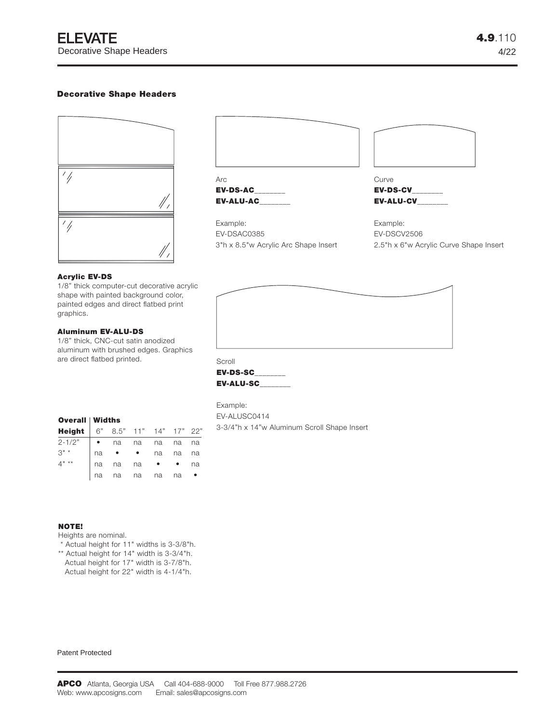# **Decorative Shape Headers**



| <b>EV-ALU-AC</b> | <b>EV-ALU-CV</b> |
|------------------|------------------|
| <b>EV-DS-AC</b>  | <b>EV-DS-CV</b>  |
| Arc              | Curve            |
|                  |                  |
|                  |                  |

Example: EV-DSAC0385 3"h x 8.5"w Acrylic Arc Shape Insert **EV-DS-CV\_\_\_\_\_\_\_\_**

Example: EV-DSCV2506 2.5"h x 6"w Acrylic Curve Shape Insert

#### **Acrylic EV-DS**

1/8" thick computer-cut decorative acrylic shape with painted background color, painted edges and direct flatbed print graphics.

# **Aluminum EV-ALU-DS**

1/8" thick, CNC-cut satin anodized aluminum with brushed edges. Graphics are direct flatbed printed.



**EV-DS-SC\_\_\_\_\_\_\_\_ EV-ALU-SC\_\_\_\_\_\_\_\_**

Example: EV-ALUSC0414 3-3/4"h x 14"w Aluminum Scroll Shape Insert

| <b>Overall Widths</b> |  |
|-----------------------|--|
|                       |  |

| Height 6" 8.5" 11" 14" 17" 22" |    |                  |    |    |    |    |
|--------------------------------|----|------------------|----|----|----|----|
| $2 - 1/2"$                     |    | $\bullet$ na     | na | na | na | na |
| $3" *$                         |    | $na \cdot \cdot$ |    | na | na | na |
| $4^{\mathsf{n} \times \star}$  | na | na na            |    |    |    | na |
|                                |    | na na na         |    | na | na |    |

### **NOTE!**

Heights are nominal.

- \* Actual height for 11" widths is 3-3/8"h.
- \*\* Actual height for 14" width is 3-3/4"h.
- Actual height for 17" width is 3-7/8"h. Actual height for 22" width is 4-1/4"h.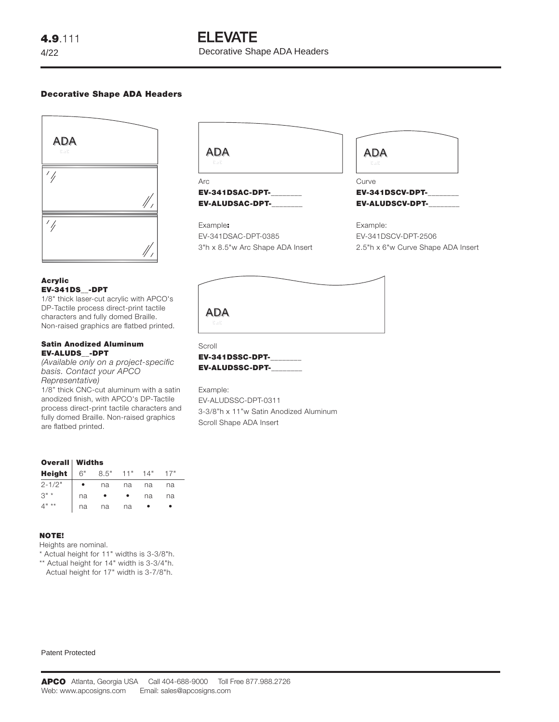# **ELEVATE**

Decorative Shape ADA Headers

# **Decorative Shape ADA Headers**



# **Acrylic EV-341DS\_\_-DPT**

1/8" thick laser-cut acrylic with APCO's DP-Tactile process direct-print tactile characters and fully domed Braille. Non-raised graphics are flatbed printed.

#### **Satin Anodized Aluminum EV-ALUDS\_\_-DPT**

*(Available only on a project-specific basis. Contact your APCO Representative)*

1/8" thick CNC-cut aluminum with a satin anodized finish, with APCO's DP-Tactile process direct-print tactile characters and fully domed Braille. Non-raised graphics are flatbed printed.



**EV-341DSAC-DPT-\_\_\_\_\_\_\_\_ EV-ALUDSAC-DPT-\_\_\_\_\_\_\_\_**

# Example**:** EV-341DSAC-DPT-0385 3"h x 8.5"w Arc Shape ADA Insert

| <b>ADA</b><br>3.58 |  |
|--------------------|--|
|                    |  |

Curve **EV-341DSCV-DPT-\_\_\_\_\_\_\_\_ EV-ALUDSCV-DPT-\_\_\_\_\_\_\_\_**

Example: EV-341DSCV-DPT-2506 2.5"h x 6"w Curve Shape ADA Insert

| ADA |  |  |
|-----|--|--|

Scroll **EV-341DSSC-DPT-\_\_\_\_\_\_\_\_ EV-ALUDSSC-DPT-\_\_\_\_\_\_\_\_**

Example: EV-ALUDSSC-DPT-0311 3-3/8"h x 11"w Satin Anodized Aluminum Scroll Shape ADA Insert

|               | <b>Overall Widths</b> |      |     |     |     |
|---------------|-----------------------|------|-----|-----|-----|
| <b>Height</b> | 6"                    | 8.5" | 11" | 14" | 17" |
| $2 - 1/2"$    |                       | na   | na  | na  | na  |
| $3" *$        | na                    |      |     | na  | na  |
| $***$         | na                    | na   | na  |     |     |

# **NOTE!**

Heights are nominal.

\* Actual height for 11" widths is 3-3/8"h.

\*\* Actual height for 14" width is 3-3/4"h.

Actual height for 17" width is 3-7/8"h.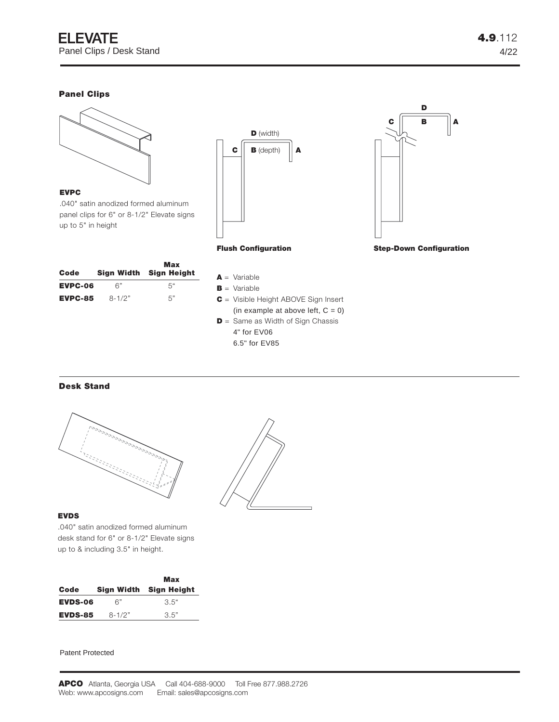# **Panel Clips**

**EVPC**

up to 5" in height



 $\mathbf{C}$  **B** (depth)  $\|\mathbf{A}\|$ **D** (width) **Flush Configuration**



| Code           |            | Max<br>Sign Width Sign Height |
|----------------|------------|-------------------------------|
| EVPC-06        | 6"         | 5"                            |
| <b>EVPC-85</b> | $8 - 1/2"$ | 5"                            |

.040" satin anodized formed aluminum panel clips for 6" or 8-1/2" Elevate signs

- **A** = Variable
- **B** = Variable
- **C** = Visible Height ABOVE Sign Insert (in example at above left,  $C = 0$ )
- **D** = Same as Width of Sign Chassis
	- 4" for EV06
	- 6.5" for EV85

# **Desk Stand**



# **EVDS**

.040" satin anodized formed aluminum desk stand for 6" or 8-1/2" Elevate signs up to & including 3.5" in height.

|                |            | Max                    |  |
|----------------|------------|------------------------|--|
| Code           |            | Sign Width Sign Height |  |
| <b>EVDS-06</b> | 6"         | 3.5"                   |  |
| <b>EVDS-85</b> | $8 - 1/2"$ | 3.5"                   |  |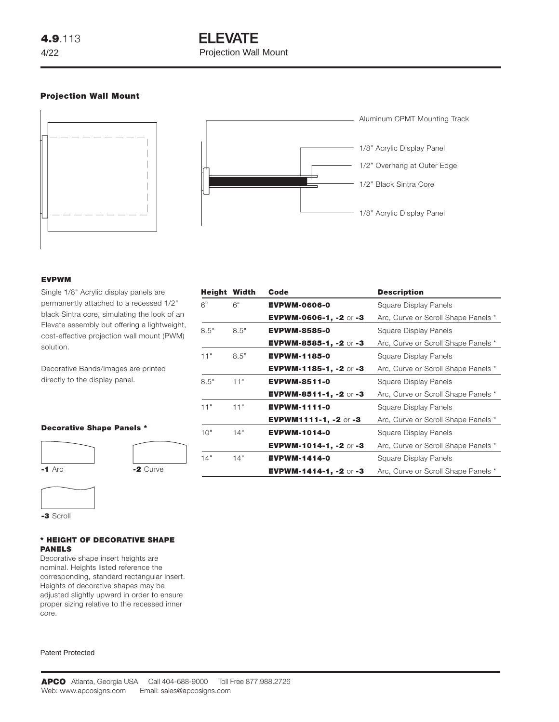# **ELEVATE** Projection Wall Mount

# **Projection Wall Mount**





#### **EVPWM**

Single 1/8" Acrylic display panels are permanently attached to a recessed 1/2" black Sintra core, simulating the look of an Elevate assembly but offering a lightweight, cost-effective projection wall mount (PWM) solution.

Decorative Bands/Images are printed directly to the display panel.

## **Decorative Shape Panels \***





**-3** Scroll

## **\* HEIGHT OF DECORATIVE SHAPE PANELS**

Decorative shape insert heights are nominal. Heights listed reference the corresponding, standard rectangular insert. Heights of decorative shapes may be adjusted slightly upward in order to ensure proper sizing relative to the recessed inner core.

| <b>Height Width</b> |      | Code                          | <b>Description</b>                  |
|---------------------|------|-------------------------------|-------------------------------------|
| 6"                  | 6"   | <b>EVPWM-0606-0</b>           | Square Display Panels               |
|                     |      | EVPWM-0606-1, -2 or -3        | Arc, Curve or Scroll Shape Panels * |
| 8.5"                | 8.5" | <b>EVPWM-8585-0</b>           | Square Display Panels               |
|                     |      | <b>EVPWM-8585-1, -2 or -3</b> | Arc, Curve or Scroll Shape Panels * |
| 11"                 | 8.5" | <b>EVPWM-1185-0</b>           | Square Display Panels               |
|                     |      | <b>EVPWM-1185-1, -2</b> or -3 | Arc, Curve or Scroll Shape Panels * |
| 8.5"                | 11"  | <b>EVPWM-8511-0</b>           | Square Display Panels               |
|                     |      | <b>EVPWM-8511-1, -2 or -3</b> | Arc, Curve or Scroll Shape Panels * |
| 11"                 | 11"  | <b>EVPWM-1111-0</b>           | Square Display Panels               |
|                     |      | <b>EVPWM1111-1, -2</b> or -3  | Arc, Curve or Scroll Shape Panels * |
| 10"                 | 14"  | <b>EVPWM-1014-0</b>           | Square Display Panels               |
|                     |      | <b>EVPWM-1014-1, -2 or -3</b> | Arc, Curve or Scroll Shape Panels * |
| 14"                 | 14"  | <b>EVPWM-1414-0</b>           | Square Display Panels               |
|                     |      | <b>EVPWM-1414-1, -2</b> or -3 | Arc, Curve or Scroll Shape Panels * |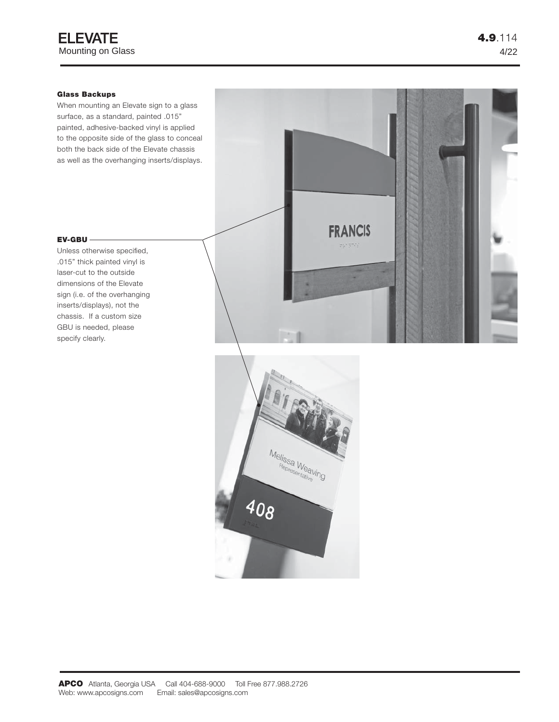# **Glass Backups**

When mounting an Elevate sign to a glass surface, as a standard, painted .015" painted, adhesive-backed vinyl is applied to the opposite side of the glass to conceal both the back side of the Elevate chassis as well as the overhanging inserts/displays.

# **EV-GBU**

Unless otherwise specified, .015" thick painted vinyl is laser-cut to the outside dimensions of the Elevate sign (i.e. of the overhanging inserts/displays), not the chassis. If a custom size GBU is needed, please specify clearly.



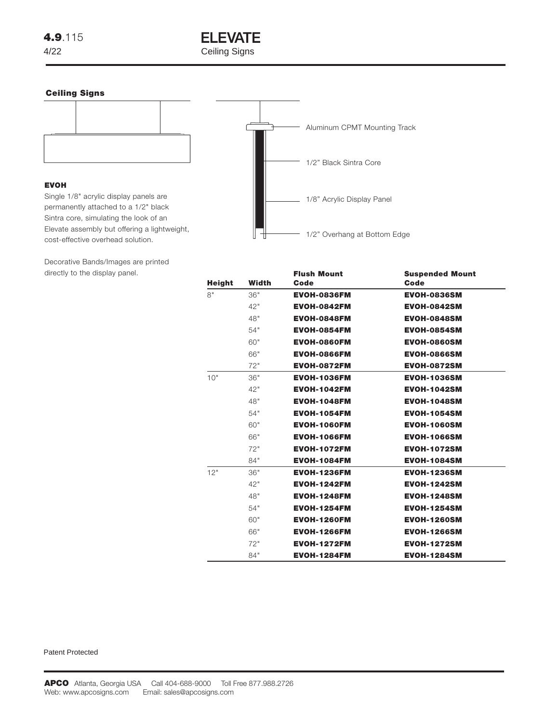

## **Ceiling Signs**



## **EVOH**

Single 1/8" acrylic display panels are permanently attached to a 1/2" black Sintra core, simulating the look of an Elevate assembly but offering a lightweight, cost-effective overhead solution.

Decorative Bands/Images are printed directly to the display panel.



|               |       | <b>Flush Mount</b> | <b>Suspended Mount</b> |
|---------------|-------|--------------------|------------------------|
| <b>Height</b> | Width | Code               | Code                   |
| 8"            | 36"   | <b>EVOH-0836FM</b> | <b>EVOH-0836SM</b>     |
|               | 42"   | <b>EVOH-0842FM</b> | <b>EVOH-0842SM</b>     |
|               | 48"   | <b>EVOH-0848FM</b> | <b>EVOH-0848SM</b>     |
|               | 54"   | <b>EVOH-0854FM</b> | <b>EVOH-0854SM</b>     |
|               | 60"   | <b>EVOH-0860FM</b> | <b>EVOH-0860SM</b>     |
|               | 66"   | <b>EVOH-0866FM</b> | <b>EVOH-0866SM</b>     |
|               | 72"   | <b>EVOH-0872FM</b> | <b>EVOH-0872SM</b>     |
| 10"           | 36"   | <b>EVOH-1036FM</b> | <b>EVOH-1036SM</b>     |
|               | 42"   | <b>EVOH-1042FM</b> | <b>EVOH-1042SM</b>     |
|               | 48"   | <b>EVOH-1048FM</b> | <b>EVOH-1048SM</b>     |
|               | 54"   | <b>EVOH-1054FM</b> | <b>EVOH-1054SM</b>     |
|               | 60"   | <b>EVOH-1060FM</b> | <b>EVOH-1060SM</b>     |
|               | 66"   | <b>EVOH-1066FM</b> | <b>EVOH-1066SM</b>     |
|               | 72"   | <b>EVOH-1072FM</b> | <b>EVOH-1072SM</b>     |
|               | 84"   | <b>EVOH-1084FM</b> | <b>EVOH-1084SM</b>     |
| 12"           | 36"   | <b>EVOH-1236FM</b> | <b>EVOH-1236SM</b>     |
|               | 42"   | <b>EVOH-1242FM</b> | <b>EVOH-1242SM</b>     |
|               | 48"   | <b>EVOH-1248FM</b> | <b>EVOH-1248SM</b>     |
|               | 54"   | <b>EVOH-1254FM</b> | <b>EVOH-1254SM</b>     |
|               | 60"   | <b>EVOH-1260FM</b> | <b>EVOH-1260SM</b>     |
|               | 66"   | <b>EVOH-1266FM</b> | <b>EVOH-1266SM</b>     |
|               | 72"   | <b>EVOH-1272FM</b> | <b>EVOH-1272SM</b>     |
|               | 84"   | <b>EVOH-1284FM</b> | <b>EVOH-1284SM</b>     |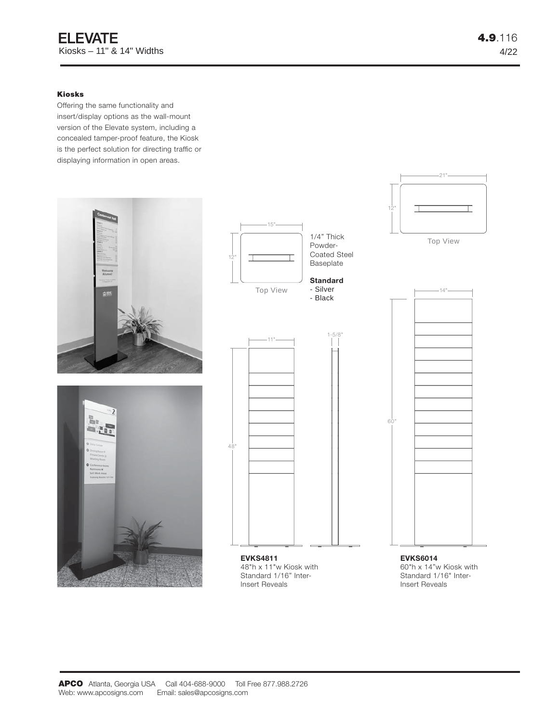# **Kiosks**

Offering the same functionality and insert/display options as the wall-mount version of the Elevate system, including a concealed tamper-proof feature, the Kiosk is the perfect solution for directing traffic or displaying information in open areas.







48"h x 11"w Kiosk with Standard 1/16" Inter-Insert Reveals

**EVKS6014** 60"h x 14"w Kiosk with Standard 1/16" Inter-Insert Reveals

Top View

21"

14"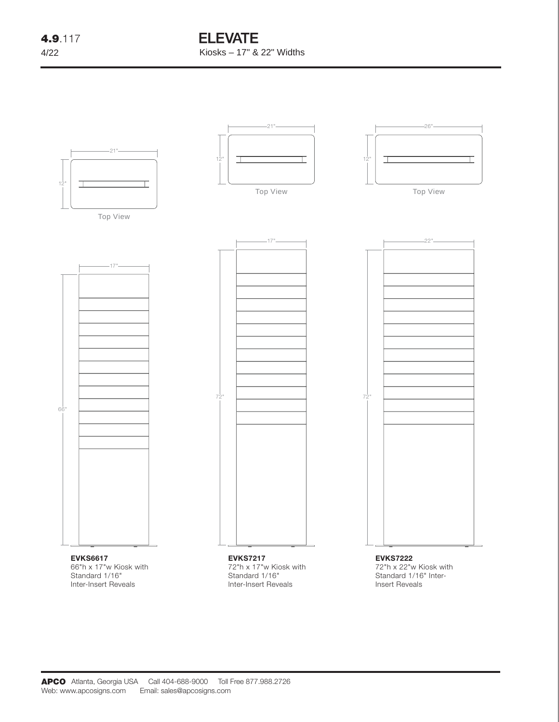# **ELEVATE** Kiosks – 17" & 22" Widths